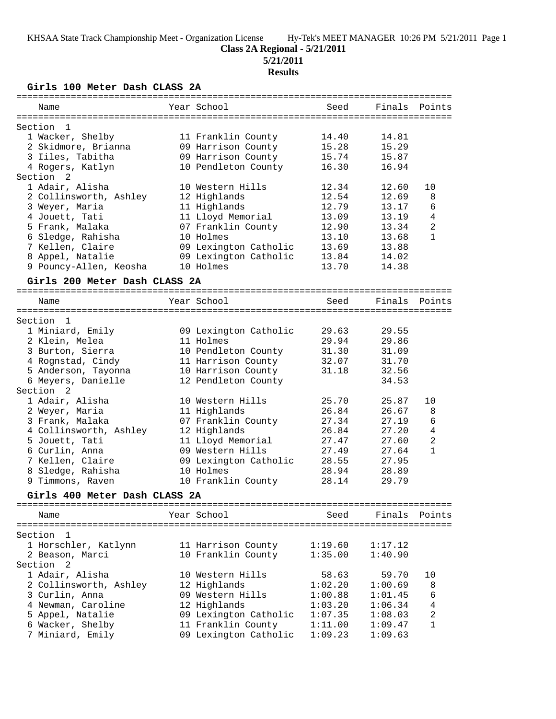# **Class 2A Regional - 5/21/2011**

**5/21/2011**

# **Results**

**Girls 100 Meter Dash CLASS 2A**

| ===========               |                               |                       |         |         |                |
|---------------------------|-------------------------------|-----------------------|---------|---------|----------------|
| Name                      |                               | Year School           | Seed    | Finals  | Points         |
|                           |                               |                       |         |         |                |
| Section                   | -1                            |                       |         |         |                |
|                           | 1 Wacker, Shelby              | 11 Franklin County    | 14.40   | 14.81   |                |
|                           | 2 Skidmore, Brianna           | 09 Harrison County    | 15.28   | 15.29   |                |
|                           | 3 Iiles, Tabitha              | 09 Harrison County    | 15.74   | 15.87   |                |
|                           | 4 Rogers, Katlyn              | 10 Pendleton County   | 16.30   | 16.94   |                |
| Section <sub>2</sub>      |                               |                       |         |         |                |
|                           | 1 Adair, Alisha               | 10 Western Hills      | 12.34   | 12.60   | 10             |
|                           | 2 Collinsworth, Ashley        | 12 Highlands          | 12.54   | 12.69   | 8              |
|                           | 3 Weyer, Maria                | 11 Highlands          | 12.79   | 13.17   | 6              |
|                           | 4 Jouett, Tati                | 11 Lloyd Memorial     | 13.09   | 13.19   | 4              |
|                           | 5 Frank, Malaka               | 07 Franklin County    | 12.90   | 13.34   | 2              |
|                           | 6 Sledge, Rahisha             | 10 Holmes             | 13.10   | 13.68   | $\mathbf{1}$   |
|                           | 7 Kellen, Claire              | 09 Lexington Catholic | 13.69   | 13.88   |                |
|                           | 8 Appel, Natalie              | 09 Lexington Catholic | 13.84   | 14.02   |                |
|                           | 9 Pouncy-Allen, Keosha        | 10 Holmes             | 13.70   | 14.38   |                |
|                           | Girls 200 Meter Dash CLASS 2A |                       |         |         |                |
| Name                      |                               | Year School           | Seed    | Finals  | Points         |
|                           |                               |                       |         |         |                |
| $\overline{1}$<br>Section |                               |                       |         |         |                |
|                           | 1 Miniard, Emily              | 09 Lexington Catholic | 29.63   | 29.55   |                |
|                           | 2 Klein, Melea                | 11 Holmes             | 29.94   | 29.86   |                |
|                           | 3 Burton, Sierra              | 10 Pendleton County   | 31.30   | 31.09   |                |
|                           | 4 Rognstad, Cindy             | 11 Harrison County    | 32.07   | 31.70   |                |
|                           | 5 Anderson, Tayonna           | 10 Harrison County    | 31.18   | 32.56   |                |
|                           | 6 Meyers, Danielle            | 12 Pendleton County   |         | 34.53   |                |
| Section <sub>2</sub>      |                               |                       |         |         |                |
|                           | 1 Adair, Alisha               | 10 Western Hills      | 25.70   | 25.87   | 10             |
|                           | 2 Weyer, Maria                | 11 Highlands          | 26.84   | 26.67   | 8              |
|                           | 3 Frank, Malaka               | 07 Franklin County    | 27.34   | 27.19   | 6              |
|                           | 4 Collinsworth, Ashley        | 12 Highlands          | 26.84   | 27.20   | $\bf 4$        |
|                           | 5 Jouett, Tati                | 11 Lloyd Memorial     | 27.47   | 27.60   | $\overline{2}$ |
|                           | 6 Curlin, Anna                | 09 Western Hills      | 27.49   | 27.64   | $\mathbf{1}$   |
|                           | 7 Kellen, Claire              | 09 Lexington Catholic | 28.55   | 27.95   |                |
|                           | 8 Sledge, Rahisha             | 10 Holmes             | 28.94   | 28.89   |                |
|                           | 9 Timmons, Raven              | 10 Franklin County    | 28.14   | 29.79   |                |
|                           | Girls 400 Meter Dash CLASS 2A |                       |         |         |                |
|                           | ==========================    |                       |         |         |                |
| Name                      |                               | Year School           | Seed    | Finals  | Points         |
| Section                   | 1                             |                       |         |         |                |
|                           | 1 Horschler, Katlynn          | 11 Harrison County    | 1:19.60 | 1:17.12 |                |
|                           | 2 Beason, Marci               | 10 Franklin County    | 1:35.00 | 1:40.90 |                |
| Section 2                 |                               |                       |         |         |                |
|                           | 1 Adair, Alisha               | 10 Western Hills      | 58.63   | 59.70   | 10             |
|                           | 2 Collinsworth, Ashley        | 12 Highlands          | 1:02.20 | 1:00.69 | 8              |
|                           | 3 Curlin, Anna                | 09 Western Hills      | 1:00.88 | 1:01.45 | 6              |
|                           | 4 Newman, Caroline            | 12 Highlands          | 1:03.20 | 1:06.34 | $\,4$          |
|                           | 5 Appel, Natalie              | 09 Lexington Catholic | 1:07.35 | 1:08.03 | 2              |
|                           | 6 Wacker, Shelby              | 11 Franklin County    | 1:11.00 | 1:09.47 | 1              |
|                           | 7 Miniard, Emily              | 09 Lexington Catholic | 1:09.23 | 1:09.63 |                |
|                           |                               |                       |         |         |                |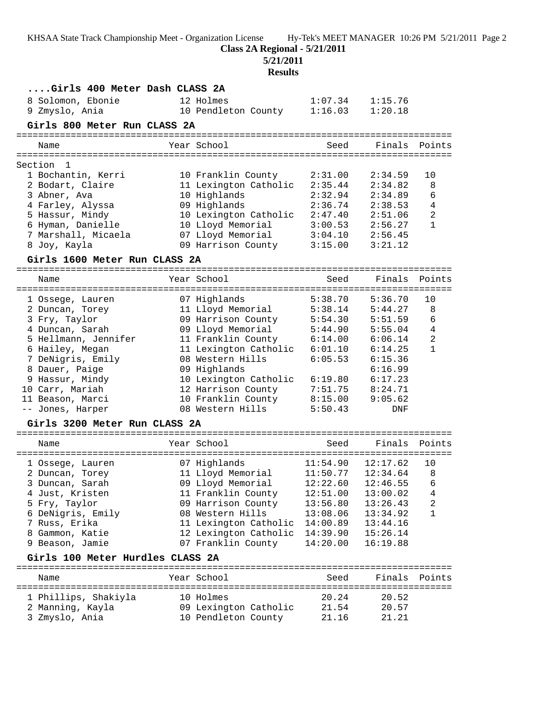**Class 2A Regional - 5/21/2011**

**5/21/2011**

## **Results**

| Girls 400 Meter Dash CLASS 2A    |                       |          |          |                |
|----------------------------------|-----------------------|----------|----------|----------------|
| 8 Solomon, Ebonie                | 12 Holmes             | 1:07.34  | 1:15.76  |                |
| 9 Zmyslo, Ania                   | 10 Pendleton County   | 1:16.03  | 1:20.18  |                |
| Girls 800 Meter Run CLASS 2A     |                       |          |          |                |
|                                  |                       |          |          |                |
| Name                             | Year School           | Seed     | Finals   | Points         |
|                                  |                       |          |          |                |
| Section<br>1                     |                       |          |          |                |
| 1 Bochantin, Kerri               | 10 Franklin County    | 2:31.00  | 2:34.59  | 10             |
| 2 Bodart, Claire                 | 11 Lexington Catholic | 2:35.44  | 2:34.82  | 8              |
| 3 Abner, Ava                     | 10 Highlands          | 2:32.94  | 2:34.89  | 6              |
| 4 Farley, Alyssa                 | 09 Highlands          | 2:36.74  | 2:38.53  | 4              |
| 5 Hassur, Mindy                  | 10 Lexington Catholic | 2:47.40  | 2:51.06  | $\overline{2}$ |
| 6 Hyman, Danielle                | 10 Lloyd Memorial     | 3:00.53  | 2:56.27  | $\mathbf{1}$   |
| 7 Marshall, Micaela              | 07 Lloyd Memorial     | 3:04.10  | 2:56.45  |                |
| 8 Joy, Kayla                     | 09 Harrison County    | 3:15.00  | 3:21.12  |                |
| Girls 1600 Meter Run CLASS 2A    |                       |          |          |                |
| Name                             | Year School           | Seed     | Finals   | Points         |
|                                  |                       |          |          |                |
| 1 Ossege, Lauren                 | 07 Highlands          | 5:38.70  | 5:36.70  | 10             |
| 2 Duncan, Torey                  | 11 Lloyd Memorial     | 5:38.14  | 5:44.27  | 8              |
| 3 Fry, Taylor                    | 09 Harrison County    | 5:54.30  | 5:51.59  | 6              |
| 4 Duncan, Sarah                  | 09 Lloyd Memorial     | 5:44.90  | 5:55.04  | $\overline{4}$ |
| 5 Hellmann, Jennifer             | 11 Franklin County    | 6:14.00  | 6:06.14  | $\sqrt{2}$     |
| 6 Hailey, Megan                  | 11 Lexington Catholic | 6:01.10  | 6:14.25  | $\mathbf{1}$   |
| 7 DeNigris, Emily                | 08 Western Hills      | 6:05.53  | 6:15.36  |                |
| 8 Dauer, Paige                   | 09 Highlands          |          | 6:16.99  |                |
| 9 Hassur, Mindy                  | 10 Lexington Catholic | 6:19.80  | 6:17.23  |                |
| 10 Carr, Mariah                  | 12 Harrison County    | 7:51.75  | 8:24.71  |                |
| 11 Beason, Marci                 | 10 Franklin County    | 8:15.00  | 9:05.62  |                |
| -- Jones, Harper                 | 08 Western Hills      | 5:50.43  | DNF      |                |
| Girls 3200 Meter Run CLASS 2A    |                       |          |          |                |
|                                  |                       |          |          |                |
| Name                             | Year School           | Seed     | Finals   | Points         |
| 1 Ossege, Lauren                 | 07 Highlands          | 11:54.90 | 12:17.62 | 10             |
| 2 Duncan, Torey                  | 11 Lloyd Memorial     | 11:50.77 | 12:34.64 | 8              |
| 3 Duncan, Sarah                  | 09 Lloyd Memorial     | 12:22.60 | 12:46.55 | 6              |
| 4 Just, Kristen                  | 11 Franklin County    | 12:51.00 | 13:00.02 | $\,4$          |
| 5 Fry, Taylor                    | 09 Harrison County    | 13:56.80 | 13:26.43 | 2              |
| 6 DeNigris, Emily                | 08 Western Hills      | 13:08.06 | 13:34.92 | $\mathbf{1}$   |
| 7 Russ, Erika                    | 11 Lexington Catholic | 14:00.89 | 13:44.16 |                |
| 8 Gammon, Katie                  | 12 Lexington Catholic | 14:39.90 | 15:26.14 |                |
| 9 Beason, Jamie                  | 07 Franklin County    | 14:20.00 | 16:19.88 |                |
| Girls 100 Meter Hurdles CLASS 2A |                       |          |          |                |
| Name                             | Year School           | Seed     | Finals   | Points         |
|                                  |                       |          |          |                |
| 1 Phillips, Shakiyla             | 10 Holmes             | 20.24    | 20.52    |                |
| 2 Manning, Kayla                 | 09 Lexington Catholic | 21.54    | 20.57    |                |

3 Zmyslo, Ania 10 Pendleton County 21.16 21.21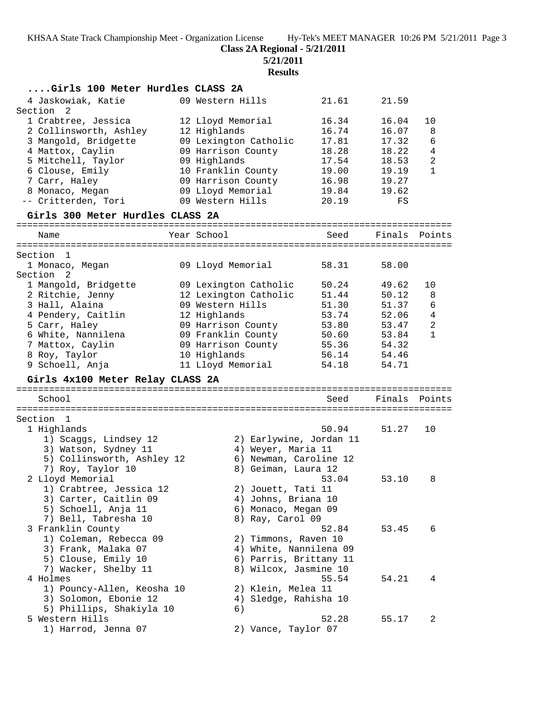**Class 2A Regional - 5/21/2011**

**5/21/2011**

**Results**

| Girls 100 Meter Hurdles CLASS 2A |                       |                         |       |        |                |
|----------------------------------|-----------------------|-------------------------|-------|--------|----------------|
| 4 Jaskowiak, Katie               | 09 Western Hills      |                         | 21.61 | 21.59  |                |
| Section<br>2                     |                       |                         |       |        |                |
| 1 Crabtree, Jessica              | 12 Lloyd Memorial     |                         | 16.34 | 16.04  | 10             |
| 2 Collinsworth, Ashley           | 12 Highlands          |                         | 16.74 | 16.07  | 8              |
| 3 Mangold, Bridgette             | 09 Lexington Catholic |                         | 17.81 | 17.32  | 6              |
| 4 Mattox, Caylin                 | 09 Harrison County    |                         | 18.28 | 18.22  | $\overline{4}$ |
| 5 Mitchell, Taylor               | 09 Highlands          |                         | 17.54 | 18.53  | $\sqrt{2}$     |
| 6 Clouse, Emily                  | 10 Franklin County    |                         | 19.00 | 19.19  | $\mathbf{1}$   |
| 7 Carr, Haley                    | 09 Harrison County    |                         | 16.98 | 19.27  |                |
| 8 Monaco, Megan                  | 09 Lloyd Memorial     |                         | 19.84 | 19.62  |                |
| -- Critterden, Tori              | 09 Western Hills      |                         | 20.19 | FS     |                |
| Girls 300 Meter Hurdles CLASS 2A |                       |                         |       |        |                |
| Name                             | Year School           |                         | Seed  | Finals | Points         |
|                                  |                       |                         |       |        |                |
| Section 1<br>1 Monaco, Megan     | 09 Lloyd Memorial     |                         | 58.31 | 58.00  |                |
| Section 2                        |                       |                         |       |        |                |
| 1 Mangold, Bridgette             | 09 Lexington Catholic |                         | 50.24 | 49.62  | 10             |
| 2 Ritchie, Jenny                 | 12 Lexington Catholic |                         | 51.44 | 50.12  | 8              |
| 3 Hall, Alaina                   | 09 Western Hills      |                         | 51.30 | 51.37  | 6              |
| 4 Pendery, Caitlin               | 12 Highlands          |                         | 53.74 | 52.06  | $\overline{4}$ |
| 5 Carr, Haley                    | 09 Harrison County    |                         | 53.80 | 53.47  | $\sqrt{2}$     |
| 6 White, Nannilena               | 09 Franklin County    |                         | 50.60 | 53.84  | $\mathbf{1}$   |
| 7 Mattox, Caylin                 | 09 Harrison County    |                         | 55.36 | 54.32  |                |
| 8 Roy, Taylor                    | 10 Highlands          |                         | 56.14 | 54.46  |                |
| 9 Schoell, Anja                  | 11 Lloyd Memorial     |                         | 54.18 | 54.71  |                |
| Girls 4x100 Meter Relay CLASS 2A |                       |                         |       |        |                |
|                                  |                       |                         |       |        |                |
| School                           |                       |                         | Seed  | Finals | Points         |
| Section 1                        |                       |                         |       |        |                |
| 1 Highlands                      |                       |                         | 50.94 | 51.27  | 10             |
| 1) Scaggs, Lindsey 12            |                       | 2) Earlywine, Jordan 11 |       |        |                |
| 3) Watson, Sydney 11             |                       | 4) Weyer, Maria 11      |       |        |                |
| 5) Collinsworth, Ashley 12       |                       | 6) Newman, Caroline 12  |       |        |                |
| 7) Roy, Taylor 10                |                       | 8) Geiman, Laura 12     |       |        |                |
| 2 Lloyd Memorial                 |                       |                         | 53.04 | 53.10  | 8              |
| 1) Crabtree, Jessica 12          |                       | 2) Jouett, Tati 11      |       |        |                |
| 3) Carter, Caitlin 09            |                       | 4) Johns, Briana 10     |       |        |                |
| 5) Schoell, Anja 11              |                       | 6) Monaco, Megan 09     |       |        |                |
| 7) Bell, Tabresha 10             |                       | 8) Ray, Carol 09        |       |        |                |
| 3 Franklin County                |                       |                         | 52.84 | 53.45  | 6              |
| 1) Coleman, Rebecca 09           |                       | 2) Timmons, Raven 10    |       |        |                |
| 3) Frank, Malaka 07              |                       | 4) White, Nannilena 09  |       |        |                |
| 5) Clouse, Emily 10              |                       | 6) Parris, Brittany 11  |       |        |                |
| 7) Wacker, Shelby 11             |                       | 8) Wilcox, Jasmine 10   |       |        |                |
| 4 Holmes                         |                       |                         | 55.54 | 54.21  | 4              |
| 1) Pouncy-Allen, Keosha 10       |                       | 2) Klein, Melea 11      |       |        |                |
| 3) Solomon, Ebonie 12            |                       | 4) Sledge, Rahisha 10   |       |        |                |
| 5) Phillips, Shakiyla 10         | 6)                    |                         |       |        |                |
| 5 Western Hills                  |                       |                         | 52.28 | 55.17  | 2              |
| 1) Harrod, Jenna 07              |                       | 2) Vance, Taylor 07     |       |        |                |
|                                  |                       |                         |       |        |                |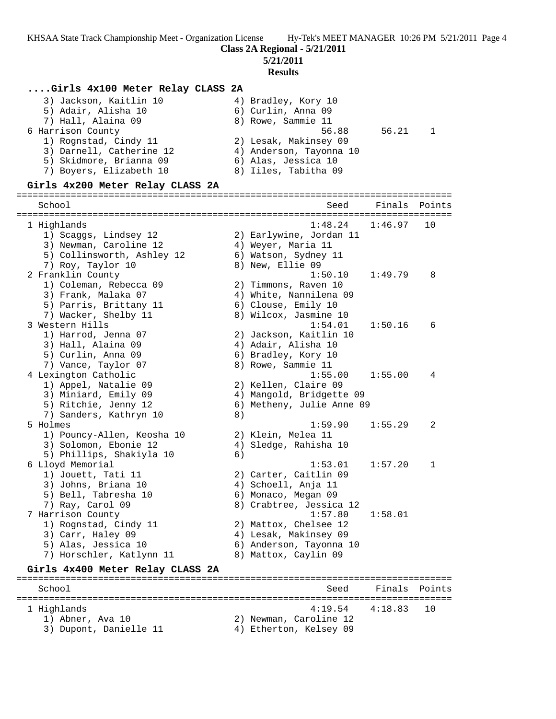**5/21/2011**

#### **Results**

#### **....Girls 4x100 Meter Relay CLASS 2A**

| 3) Jackson, Kaitlin 10   | 4) Bradley, Kory 10     |       |  |
|--------------------------|-------------------------|-------|--|
| 5) Adair, Alisha 10      | 6) Curlin, Anna 09      |       |  |
| 7) Hall, Alaina 09       | 8) Rowe, Sammie 11      |       |  |
| 6 Harrison County        | 56.88                   | 56.21 |  |
| 1) Rognstad, Cindy 11    | 2) Lesak, Makinsey 09   |       |  |
| 3) Darnell, Catherine 12 | 4) Anderson, Tayonna 10 |       |  |
| 5) Skidmore, Brianna 09  | 6) Alas, Jessica 10     |       |  |
| 7) Boyers, Elizabeth 10  | 8) Iiles, Tabitha 09    |       |  |
|                          |                         |       |  |

#### **Girls 4x200 Meter Relay CLASS 2A**

================================================================================ School Seed Finals Points ================================================================================ 1 Highlands 1:48.24 1:46.97 10 1) Scaggs, Lindsey 12 2) Earlywine, Jordan 11 3) Newman, Caroline 12  $\hskip1cm$  4) Weyer, Maria 11 5) Collinsworth, Ashley 12 (6) Watson, Sydney 11 7) Roy, Taylor 10 and 8) New, Ellie 09 2 Franklin County 1:50.10 1:49.79 8 1) Coleman, Rebecca 09 2) Timmons, Raven 10 3) Frank, Malaka 07 4) White, Nannilena 09 5) Parris, Brittany 11 6) Clouse, Emily 10 7) Wacker, Shelby 11 8) Wilcox, Jasmine 10 3 Western Hills 1:54.01 1:50.16 6 1) Harrod, Jenna 07 2) Jackson, Kaitlin 10 3) Hall, Alaina 09 4) Adair, Alisha 10 5) Curlin, Anna 09 6) Bradley, Kory 10 7) Vance, Taylor 07 (8) Rowe, Sammie 11 4 Lexington Catholic 1:55.00 1:55.00 4 1) Appel, Natalie 09 2) Kellen, Claire 09 3) Miniard, Emily 09 4) Mangold, Bridgette 09 5) Ritchie, Jenny 12 6) Metheny, Julie Anne 09 7) Sanders, Kathryn 10 8) 5 Holmes 1:59.90 1:55.29 2 1) Pouncy-Allen, Keosha 10 2) Klein, Melea 11 3) Solomon, Ebonie 12 4) Sledge, Rahisha 10 5) Phillips, Shakiyla 10 (6) 6 Lloyd Memorial 1:53.01 1:57.20 1 1) Jouett, Tati 11 2) Carter, Caitlin 09 3) Johns, Briana 10 (4) Schoell, Anja 11 5) Bell, Tabresha 10 6) Monaco, Megan 09 7) Ray, Carol 09 8) Crabtree, Jessica 12 7 Harrison County 1:57.80 1:58.01 1) Rognstad, Cindy 11 2) Mattox, Chelsee 12 3) Carr, Haley 09 4) Lesak, Makinsey 09 5) Alas, Jessica 10 6) Anderson, Tayonna 10 7) Horschler, Katlynn 11 8) Mattox, Caylin 09 **Girls 4x400 Meter Relay CLASS 2A** ================================================================================ School Seed Finals Points ================================================================================ 1 Highlands 4:19.54 4:18.83 10 1) Abner, Ava 10 2) Newman, Caroline 12

- 3) Dupont, Danielle 11 (4) Etherton, Kelsey 09
-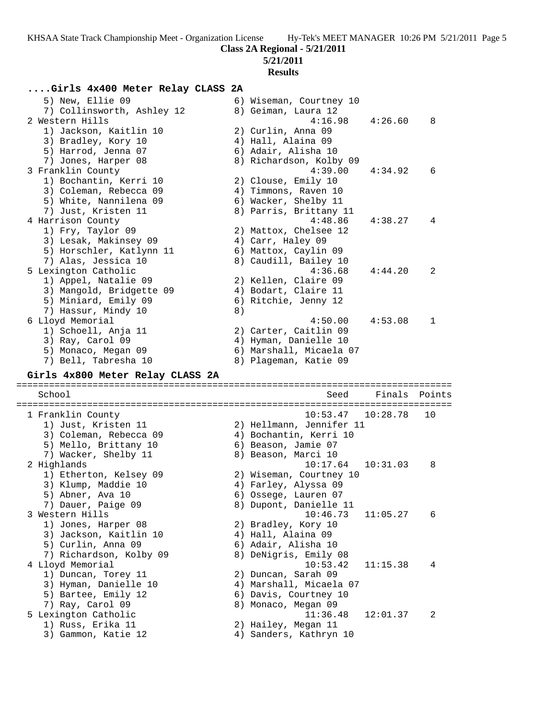## **5/21/2011**

## **Results**

# **....Girls 4x400 Meter Relay CLASS 2A**

| 5) New, Ellie 09<br>7) Collinsworth, Ashley 12<br>2 Western Hills<br>1) Jackson, Kaitlin 10<br>3) Bradley, Kory 10<br>5) Harrod, Jenna 07 |    | 6) Wiseman, Courtney 10<br>8) Geiman, Laura 12<br>4:16.98<br>2) Curlin, Anna 09<br>4) Hall, Alaina 09<br>6) Adair, Alisha 10 | 4:26.60  | 8      |
|-------------------------------------------------------------------------------------------------------------------------------------------|----|------------------------------------------------------------------------------------------------------------------------------|----------|--------|
| 7) Jones, Harper 08<br>3 Franklin County<br>1) Bochantin, Kerri 10<br>3) Coleman, Rebecca 09                                              |    | 8) Richardson, Kolby 09<br>4:39.00<br>2) Clouse, Emily 10<br>4) Timmons, Raven 10                                            | 4:34.92  | 6      |
| 5) White, Nannilena 09<br>7) Just, Kristen 11<br>4 Harrison County<br>1) Fry, Taylor 09                                                   |    | 6) Wacker, Shelby 11<br>8) Parris, Brittany 11<br>4:48.86<br>2) Mattox, Chelsee 12                                           | 4:38.27  | 4      |
| 3) Lesak, Makinsey 09<br>5) Horschler, Katlynn 11<br>7) Alas, Jessica 10<br>5 Lexington Catholic                                          |    | 4) Carr, Haley 09<br>6) Mattox, Caylin 09<br>8) Caudill, Bailey 10<br>4:36.68                                                | 4:44.20  | 2      |
| 1) Appel, Natalie 09<br>3) Mangold, Bridgette 09<br>5) Miniard, Emily 09<br>7) Hassur, Mindy 10                                           | 8) | 2) Kellen, Claire 09<br>4) Bodart, Claire 11<br>6) Ritchie, Jenny 12<br>4:50.00                                              |          |        |
| 6 Lloyd Memorial<br>1) Schoell, Anja 11<br>3) Ray, Carol 09<br>5) Monaco, Megan 09<br>7) Bell, Tabresha 10                                |    | 2) Carter, Caitlin 09<br>4) Hyman, Danielle 10<br>6) Marshall, Micaela 07<br>8) Plageman, Katie 09                           | 4:53.08  | 1      |
| Girls 4x800 Meter Relay CLASS 2A                                                                                                          |    |                                                                                                                              |          |        |
| School                                                                                                                                    |    | Seed                                                                                                                         | Finals   | Points |
| 1 Franklin County<br>1) Just, Kristen 11<br>3) Coleman, Rebecca 09<br>5) Mello, Brittany 10                                               |    | 10:53.47<br>2) Hellmann, Jennifer 11<br>4) Bochantin, Kerri 10<br>6) Beason, Jamie 07<br>8) Beason, Marci 10                 | 10:28.78 | 10     |
| 7) Wacker, Shelby 11<br>2 Highlands<br>1) Etherton, Kelsey 09<br>3) Klump, Maddie 10<br>5) Abner, Ava 10<br>7) Dauer, Paige 09            |    | 10:17.64<br>2) Wiseman, Courtney 10<br>4) Farley, Alyssa 09<br>6) Ossege, Lauren 07<br>8) Dupont, Danielle 11                | 10:31.03 | 8      |
| 3 Western Hills<br>1) Jones, Harper 08<br>3) Jackson, Kaitlin 10<br>5) Curlin, Anna 09<br>7) Richardson, Kolby 09                         |    | 10:46.73<br>2) Bradley, Kory 10<br>4) Hall, Alaina 09<br>6) Adair, Alisha 10<br>8) DeNigris, Emily 08                        | 11:05.27 | 6      |
| 4 Lloyd Memorial<br>1) Duncan, Torey 11<br>3) Hyman, Danielle 10<br>5) Bartee, Emily 12<br>7) Ray, Carol 09                               |    | 10:53.42<br>2) Duncan, Sarah 09<br>4) Marshall, Micaela 07<br>6) Davis, Courtney 10<br>8) Monaco, Megan 09                   | 11:15.38 | 4      |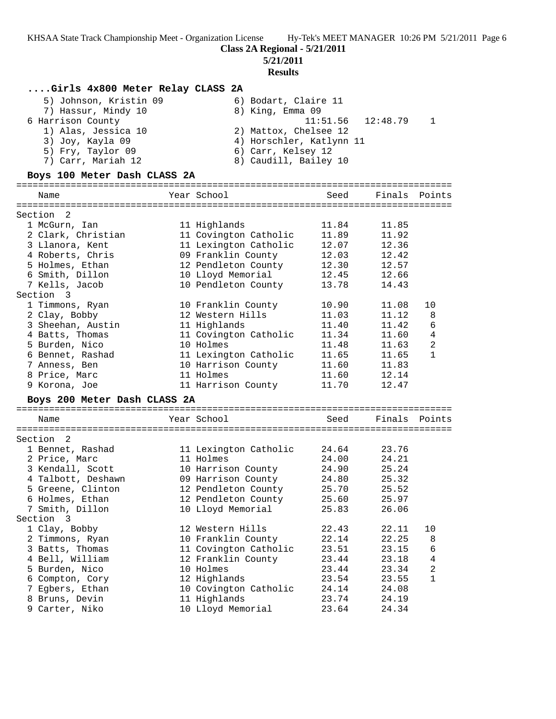**Class 2A Regional - 5/21/2011**

**5/21/2011**

## **Results**

# **....Girls 4x800 Meter Relay CLASS 2A**

| 5) Johnson, Kristin 09 | 6) Bodart, Claire 11     |
|------------------------|--------------------------|
| 7) Hassur, Mindy 10    | 8) King, Emma 09         |
| 6 Harrison County      | $11:51.56$ $12:48.79$ 1  |
| 1) Alas, Jessica 10    | 2) Mattox, Chelsee 12    |
| 3) Joy, Kayla 09       | 4) Horschler, Katlynn 11 |
| 5) Fry, Taylor 09      | 6) Carr, Kelsey 12       |
| 7) Carr, Mariah 12     | 8) Caudill, Bailey 10    |

## **Boys 100 Meter Dash CLASS 2A**

| Name                         | Year School           | Seed  | Finals        | Points         |
|------------------------------|-----------------------|-------|---------------|----------------|
|                              |                       |       |               |                |
| 2<br>Section                 |                       |       |               |                |
| 1 McGurn, Ian                | 11 Highlands          | 11.84 | 11.85         |                |
| 2 Clark, Christian           | 11 Covington Catholic | 11.89 | 11.92         |                |
| 3 Llanora, Kent              | 11 Lexington Catholic | 12.07 | 12.36         |                |
| 4 Roberts, Chris             | 09 Franklin County    | 12.03 | 12.42         |                |
| 5 Holmes, Ethan              | 12 Pendleton County   | 12.30 | 12.57         |                |
| 6 Smith, Dillon              | 10 Lloyd Memorial     | 12.45 | 12.66         |                |
| 7 Kells, Jacob               | 10 Pendleton County   | 13.78 | 14.43         |                |
| Section 3                    |                       |       |               |                |
| 1 Timmons, Ryan              | 10 Franklin County    | 10.90 | 11.08         | 10             |
| 2 Clay, Bobby                | 12 Western Hills      | 11.03 | 11.12         | 8              |
| 3 Sheehan, Austin            | 11 Highlands          | 11.40 | 11.42         | 6              |
| 4 Batts, Thomas              | 11 Covington Catholic | 11.34 | 11.60         | 4              |
| 5 Burden, Nico               | 10 Holmes             | 11.48 | 11.63         | $\overline{a}$ |
| 6 Bennet, Rashad             | 11 Lexington Catholic | 11.65 | 11.65         | $\mathbf{1}$   |
| 7 Anness, Ben                | 10 Harrison County    | 11.60 | 11.83         |                |
| 8 Price, Marc                | 11 Holmes             | 11.60 | 12.14         |                |
| 9 Korona, Joe                | 11 Harrison County    | 11.70 | 12.47         |                |
| Boys 200 Meter Dash CLASS 2A |                       |       |               |                |
|                              |                       |       |               |                |
| Name                         | Year School           | Seed  | Finals Points |                |
|                              |                       |       |               |                |
| Section<br>2                 |                       |       |               |                |
| 1 Bennet, Rashad             | 11 Lexington Catholic | 24.64 | 23.76         |                |
| 2 Price, Marc                | 11 Holmes             | 24.00 | 24.21         |                |
| 3 Kendall, Scott             | 10 Harrison County    | 24.90 | 25.24         |                |
| 4 Talbott, Deshawn           | 09 Harrison County    | 24.80 | 25.32         |                |
| 5 Greene, Clinton            | 12 Pendleton County   | 25.70 | 25.52         |                |
| 6 Holmes, Ethan              | 12 Pendleton County   | 25.60 | 25.97         |                |
| 7 Smith, Dillon              | 10 Lloyd Memorial     | 25.83 | 26.06         |                |
| Section 3                    |                       |       |               |                |
| 1 Clay, Bobby                | 12 Western Hills      | 22.43 | 22.11         | 10             |
| 2 Timmons, Ryan              | 10 Franklin County    | 22.14 | 22.25         | 8              |
| 3 Batts, Thomas              | 11 Covington Catholic | 23.51 | 23.15         | 6              |
| 4 Bell, William              | 12 Franklin County    | 23.44 | 23.18         | 4              |
| 5 Burden, Nico               | 10 Holmes             | 23.44 | 23.34         | $\overline{2}$ |
| 6 Compton, Cory              | 12 Highlands          | 23.54 | 23.55         | $\mathbf{1}$   |
| 7 Egbers, Ethan              | 10 Covington Catholic | 24.14 | 24.08         |                |
| 8 Bruns, Devin               | 11 Highlands          | 23.74 | 24.19         |                |
| 9 Carter, Niko               | 10 Lloyd Memorial     | 23.64 | 24.34         |                |
|                              |                       |       |               |                |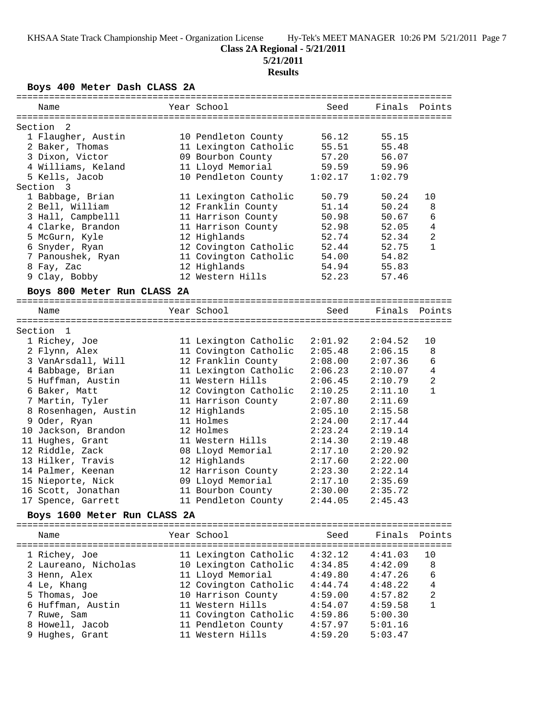**5/21/2011**

# **Results**

**Boys 400 Meter Dash CLASS 2A**

| Name                          | Year School           | Seed    | Finals        | Points         |
|-------------------------------|-----------------------|---------|---------------|----------------|
| -2                            |                       |         |               |                |
| Section<br>1 Flaugher, Austin | 10 Pendleton County   | 56.12   | 55.15         |                |
| 2 Baker, Thomas               | 11 Lexington Catholic | 55.51   | 55.48         |                |
| 3 Dixon, Victor               | 09 Bourbon County     | 57.20   | 56.07         |                |
| 4 Williams, Keland            | 11 Lloyd Memorial     | 59.59   | 59.96         |                |
| 5 Kells, Jacob                | 10 Pendleton County   | 1:02.17 | 1:02.79       |                |
| Section 3                     |                       |         |               |                |
| 1 Babbage, Brian              | 11 Lexington Catholic | 50.79   | 50.24         | 10             |
| 2 Bell, William               | 12 Franklin County    | 51.14   | 50.24         | 8              |
| 3 Hall, Campbelll             | 11 Harrison County    | 50.98   | 50.67         | 6              |
| 4 Clarke, Brandon             | 11 Harrison County    | 52.98   | 52.05         | 4              |
| 5 McGurn, Kyle                | 12 Highlands          | 52.74   | 52.34         | 2              |
| 6 Snyder, Ryan                | 12 Covington Catholic | 52.44   | 52.75         | $\mathbf{1}$   |
| 7 Panoushek, Ryan             | 11 Covington Catholic | 54.00   | 54.82         |                |
| 8 Fay, Zac                    | 12 Highlands          | 54.94   | 55.83         |                |
|                               |                       |         |               |                |
| 9 Clay, Bobby                 | 12 Western Hills      | 52.23   | 57.46         |                |
| Boys 800 Meter Run CLASS 2A   |                       |         |               |                |
| Name                          | Year School           | Seed    | Finals Points |                |
|                               |                       |         |               |                |
| Section 1                     |                       |         |               |                |
| 1 Richey, Joe                 | 11 Lexington Catholic | 2:01.92 | 2:04.52       | 10             |
| 2 Flynn, Alex                 | 11 Covington Catholic | 2:05.48 | 2:06.15       | 8              |
| 3 VanArsdall, Will            | 12 Franklin County    | 2:08.00 | 2:07.36       | 6              |
| 4 Babbage, Brian              | 11 Lexington Catholic | 2:06.23 | 2:10.07       | $\overline{4}$ |
| 5 Huffman, Austin             | 11 Western Hills      | 2:06.45 | 2:10.79       | $\overline{a}$ |
| 6 Baker, Matt                 | 12 Covington Catholic | 2:10.25 | 2:11.10       | $\mathbf{1}$   |
| 7 Martin, Tyler               | 11 Harrison County    | 2:07.80 | 2:11.69       |                |
| 8 Rosenhagen, Austin          | 12 Highlands          | 2:05.10 | 2:15.58       |                |
| 9 Oder, Ryan                  | 11 Holmes             | 2:24.00 | 2:17.44       |                |
| 10 Jackson, Brandon           | 12 Holmes             | 2:23.24 | 2:19.14       |                |
| 11 Hughes, Grant              | 11 Western Hills      | 2:14.30 | 2:19.48       |                |
| 12 Riddle, Zack               | 08 Lloyd Memorial     | 2:17.10 | 2:20.92       |                |
| 13 Hilker, Travis             | 12 Highlands          | 2:17.60 | 2:22.00       |                |
| 14 Palmer, Keenan             | 12 Harrison County    | 2:23.30 | 2:22.14       |                |
| 15 Nieporte, Nick             | 09 Lloyd Memorial     | 2:17.10 | 2:35.69       |                |
| 16 Scott, Jonathan            | 11 Bourbon County     | 2:30.00 | 2:35.72       |                |
| 17 Spence, Garrett            | 11 Pendleton County   | 2:44.05 | 2:45.43       |                |
| Boys 1600 Meter Run CLASS 2A  |                       |         |               |                |
|                               |                       |         |               |                |
| Name                          | Year School           | Seed    | Finals        | Points         |
| 1 Richey, Joe                 | 11 Lexington Catholic | 4:32.12 | 4:41.03       | 10             |
| 2 Laureano, Nicholas          | 10 Lexington Catholic | 4:34.85 | 4:42.09       | 8              |
|                               | 11 Lloyd Memorial     |         |               | 6              |
| 3 Henn, Alex                  |                       | 4:49.80 | 4:47.26       |                |
| 4 Le, Khang                   | 12 Covington Catholic | 4:44.74 | 4:48.22       | 4              |
| 5 Thomas, Joe                 | 10 Harrison County    | 4:59.00 | 4:57.82       | $\overline{a}$ |
| 6 Huffman, Austin             | 11 Western Hills      | 4:54.07 | 4:59.58       | $\mathbf{1}$   |
| 7 Ruwe, Sam                   | 11 Covington Catholic | 4:59.86 | 5:00.30       |                |
| 8 Howell, Jacob               | 11 Pendleton County   | 4:57.97 | 5:01.16       |                |
| 9 Hughes, Grant               | 11 Western Hills      | 4:59.20 | 5:03.47       |                |
|                               |                       |         |               |                |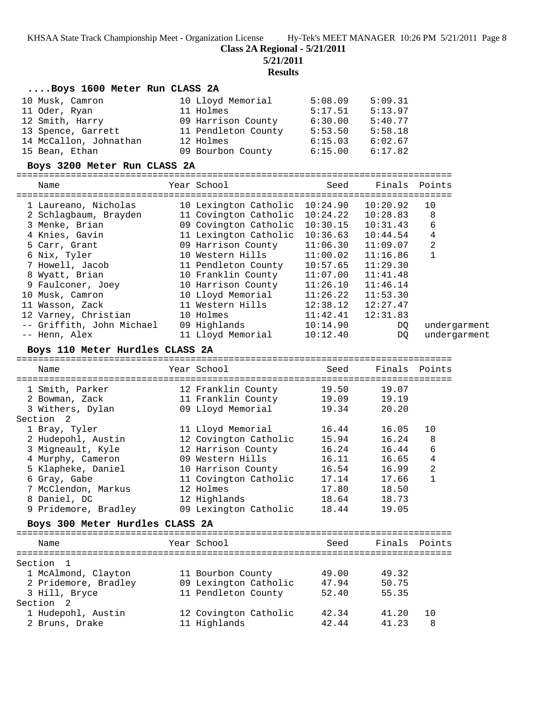**Class 2A Regional - 5/21/2011**

**5/21/2011**

# **Results**

| Boys 1600 Meter Run CLASS 2A             |                                          |                          |                       |                |
|------------------------------------------|------------------------------------------|--------------------------|-----------------------|----------------|
| 10 Musk, Camron                          | 10 Lloyd Memorial                        | 5:08.09                  | 5:09.31               |                |
| 11 Oder, Ryan                            | 11 Holmes                                | 5:17.51                  | 5:13.97               |                |
| 12 Smith, Harry                          | 09 Harrison County 6:30.00               |                          | 5:40.77               |                |
| 13 Spence, Garrett                       | 11 Pendleton County 5:53.50              |                          | 5:58.18               |                |
| 14 McCallon, Johnathan                   | 12 Holmes                                | 6:15.03                  | 6:02.67               |                |
| 15 Bean, Ethan                           | 09 Bourbon County                        | 6:15.00                  | 6:17.82               |                |
| Boys 3200 Meter Run CLASS 2A             |                                          |                          |                       |                |
|                                          | Year School                              |                          |                       | Finals Points  |
| Name                                     |                                          | Seed                     |                       |                |
| 1 Laureano, Nicholas                     | 10 Lexington Catholic 10:24.90           |                          | 10:20.92              | 10             |
| 2 Schlagbaum, Brayden                    | 11 Covington Catholic                    |                          | $10:24.22$ $10:28.83$ | 8              |
| 3 Menke, Brian                           | 09 Covington Catholic                    | 10:30.15                 | 10:31.43              | 6              |
| 4 Knies, Gavin                           | 11 Lexington Catholic                    | 10:36.63                 | 10:44.54              | 4              |
| 5 Carr, Grant                            | 09 Harrison County                       | 11:06.30                 | 11:09.07              | $\overline{a}$ |
| 6 Nix, Tyler                             | 10 Western Hills                         | $11:00.02$<br>$10:57.65$ | 11:16.86              | 1              |
| 7 Howell, Jacob                          | 11 Pendleton County                      |                          | 11:29.30              |                |
| 8 Wyatt, Brian                           | 10 Franklin County                       | 11:07.00                 | 11:41.48              |                |
| 9 Faulconer, Joey                        | 10 Harrison County                       | 11:26.10                 | 11:46.14              |                |
| 10 Musk, Camron                          | 10 Lloyd Memorial                        | 11:26.22                 | 11:53.30              |                |
| 11 Wasson, Zack                          | 11 Western Hills                         | 12:38.12                 | 12:27.47              |                |
| 12 Varney, Christian                     | 10 Holmes                                | 11:42.41                 | 12:31.83              |                |
| -- Griffith, John Michael                | 09 Highlands                             | 10:14.90                 | DQ                    | undergarment   |
| -- Henn, Alex                            | 11 Lloyd Memorial                        | 10:12.40                 | DQ                    | undergarment   |
| Boys 110 Meter Hurdles CLASS 2A          |                                          |                          |                       |                |
|                                          |                                          |                          |                       |                |
| Name                                     | Year School                              | Seed                     | Finals Points         |                |
|                                          |                                          |                          |                       |                |
| 1 Smith, Parker<br>2 Bowman, Zack        | 12 Franklin County<br>11 Franklin County | 19.50<br>19.09           | 19.07<br>19.19        |                |
|                                          | 09 Lloyd Memorial                        | 19.34                    | 20.20                 |                |
| 3 Withers, Dylan<br>Section <sub>2</sub> |                                          |                          |                       |                |
| 1 Bray, Tyler                            | 11 Lloyd Memorial                        | 16.44                    | 16.05                 | 10             |
| 2 Hudepohl, Austin                       | 12 Covington Catholic                    | 15.94                    | 16.24                 | 8              |
| 3 Migneault, Kyle                        | 12 Harrison County                       | 16.24                    | 16.44                 | 6              |
| 4 Murphy, Cameron                        | 09 Western Hills                         | 16.11                    | 16.65                 | 4              |
| 5 Klapheke, Daniel                       | 10 Harrison County                       | 16.54                    | 16.99                 | 2              |
| 6 Gray, Gabe                             | 11 Covington Catholic                    | 17.14                    | 17.66                 | 1              |
| 7 McClendon, Markus                      | 12 Holmes                                | 17.80                    | 18.50                 |                |
| 8 Daniel, DC                             | 12 Highlands                             | 18.64                    | 18.73                 |                |
| 9 Pridemore, Bradley                     | 09 Lexington Catholic                    | 18.44                    | 19.05                 |                |
| Boys 300 Meter Hurdles CLASS 2A          |                                          |                          |                       |                |
| Name                                     | Year School                              | Seed                     | Finals Points         |                |
|                                          |                                          |                          |                       |                |
| Section 1                                |                                          |                          |                       |                |
| 1 McAlmond, Clayton                      | 11 Bourbon County                        | 49.00                    | 49.32                 |                |
| 2 Pridemore, Bradley                     | 09 Lexington Catholic                    | 47.94                    | 50.75                 |                |
| 3 Hill, Bryce                            | 11 Pendleton County                      | 52.40                    | 55.35                 |                |
| Section <sub>2</sub>                     |                                          |                          |                       |                |
| 1 Hudepohl, Austin                       | 12 Covington Catholic                    | 42.34                    | 41.20                 | 10             |
| 2 Bruns, Drake                           | 11 Highlands                             | 42.44                    | 41.23                 | 8              |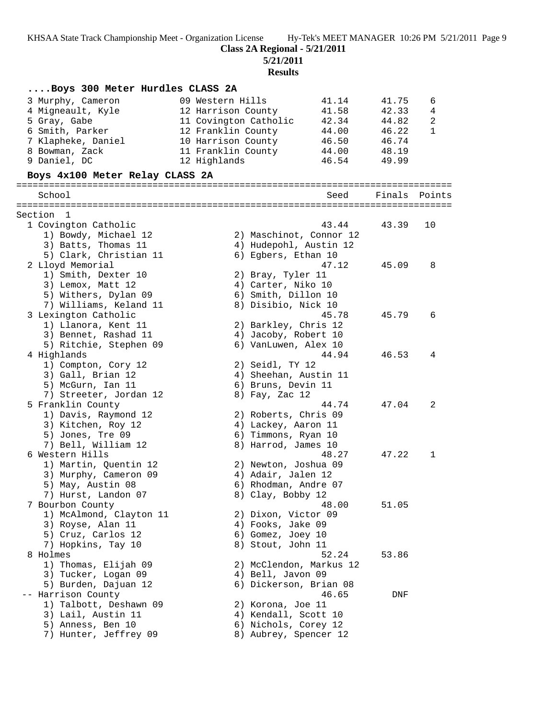**Class 2A Regional - 5/21/2011**

**5/21/2011**

**Results**

| Boys 300 Meter Hurdles CLASS 2A |                        |                         |        |              |
|---------------------------------|------------------------|-------------------------|--------|--------------|
| 3 Murphy, Cameron               | 09 Western Hills       | 41.14                   | 41.75  | 6            |
| 4 Migneault, Kyle               | 12 Harrison County     | 41.58                   | 42.33  | 4            |
| 5 Gray, Gabe                    | 11 Covington Catholic  | 42.34                   | 44.82  | 2            |
| 6 Smith, Parker                 | 12 Franklin County     | 44.00                   | 46.22  | $\mathbf{1}$ |
| 7 Klapheke, Daniel              | 10 Harrison County     | 46.50                   | 46.74  |              |
| 8 Bowman, Zack                  | 11 Franklin County     | 44.00                   | 48.19  |              |
| 9 Daniel, DC                    | 12 Highlands           | 46.54                   | 49.99  |              |
| Boys 4x100 Meter Relay CLASS 2A |                        |                         |        |              |
|                                 |                        |                         |        |              |
| School                          |                        | Seed                    | Finals | Points       |
| Section 1                       |                        |                         |        |              |
| 1 Covington Catholic            |                        | 43.44                   | 43.39  | 10           |
| 1) Bowdy, Michael 12            |                        | 2) Maschinot, Connor 12 |        |              |
| 3) Batts, Thomas 11             | 4) Hudepohl, Austin 12 |                         |        |              |
| 5) Clark, Christian 11          | 6) Egbers, Ethan 10    |                         |        |              |
| 2 Lloyd Memorial                |                        | 47.12                   | 45.09  | 8            |
| 1) Smith, Dexter 10             | 2) Bray, Tyler 11      |                         |        |              |
| 3) Lemox, Matt 12               | 4) Carter, Niko 10     |                         |        |              |
| 5) Withers, Dylan 09            | 6) Smith, Dillon 10    |                         |        |              |
| 7) Williams, Keland 11          | 8) Disibio, Nick 10    |                         |        |              |
| 3 Lexington Catholic            |                        | 45.78                   | 45.79  | 6            |
| 1) Llanora, Kent 11             | 2) Barkley, Chris 12   |                         |        |              |
| 3) Bennet, Rashad 11            | 4) Jacoby, Robert 10   |                         |        |              |
| 5) Ritchie, Stephen 09          | 6) VanLuwen, Alex 10   |                         |        |              |
|                                 |                        | 44.94                   | 46.53  | 4            |
| 4 Highlands                     |                        |                         |        |              |
| 1) Compton, Cory 12             | 2) Seidl, TY 12        |                         |        |              |
| 3) Gall, Brian 12               | 4) Sheehan, Austin 11  |                         |        |              |
| 5) McGurn, Ian 11               | 6) Bruns, Devin 11     |                         |        |              |
| 7) Streeter, Jordan 12          | 8) Fay, Zac 12         |                         |        |              |
| 5 Franklin County               |                        | 44.74                   | 47.04  | 2            |
| 1) Davis, Raymond 12            | 2) Roberts, Chris 09   |                         |        |              |
| 3) Kitchen, Roy 12              | 4) Lackey, Aaron 11    |                         |        |              |
| 5) Jones, Tre 09                | 6) Timmons, Ryan 10    |                         |        |              |
| 7) Bell, William 12             | 8) Harrod, James 10    |                         |        |              |
| 6 Western Hills                 |                        | 48.27                   | 47.22  | $\mathbf 1$  |
| 1) Martin, Quentin 12           | 2) Newton, Joshua 09   |                         |        |              |
| 3) Murphy, Cameron 09           | 4) Adair, Jalen 12     |                         |        |              |
| 5) May, Austin 08               | 6) Rhodman, Andre 07   |                         |        |              |
| 7) Hurst, Landon 07             | 8) Clay, Bobby 12      |                         |        |              |
| 7 Bourbon County                |                        | 48.00                   | 51.05  |              |
| 1) McAlmond, Clayton 11         | 2) Dixon, Victor 09    |                         |        |              |
| 3) Royse, Alan 11               | 4) Fooks, Jake 09      |                         |        |              |
| 5) Cruz, Carlos 12              | 6) Gomez, Joey 10      |                         |        |              |
| 7) Hopkins, Tay 10              | 8) Stout, John 11      |                         |        |              |
| 8 Holmes                        |                        | 52.24                   | 53.86  |              |
| 1) Thomas, Elijah 09            |                        | 2) McClendon, Markus 12 |        |              |
| 3) Tucker, Logan 09             | 4) Bell, Javon 09      |                         |        |              |
| 5) Burden, Dajuan 12            | 6) Dickerson, Brian 08 |                         |        |              |
| -- Harrison County              |                        | 46.65                   | DNF    |              |
| 1) Talbott, Deshawn 09          | 2) Korona, Joe 11      |                         |        |              |
| 3) Lail, Austin 11              | 4) Kendall, Scott 10   |                         |        |              |
| 5) Anness, Ben 10               | 6) Nichols, Corey 12   |                         |        |              |
| 7) Hunter, Jeffrey 09           | 8) Aubrey, Spencer 12  |                         |        |              |
|                                 |                        |                         |        |              |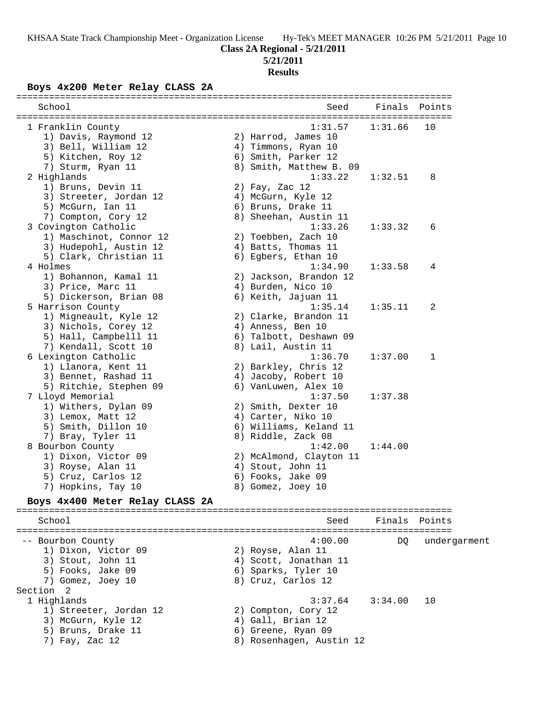#### **5/21/2011**

#### **Results**

#### **Boys 4x200 Meter Relay CLASS 2A**

| School                          | Seed                    | Finals  | Points       |
|---------------------------------|-------------------------|---------|--------------|
| 1 Franklin County               | 1:31.57                 | 1:31.66 | 10           |
| 1) Davis, Raymond 12            | 2) Harrod, James 10     |         |              |
| 3) Bell, William 12             | 4) Timmons, Ryan 10     |         |              |
| 5) Kitchen, Roy 12              | 6) Smith, Parker 12     |         |              |
| 7) Sturm, Ryan 11               | 8) Smith, Matthew B. 09 |         |              |
| 2 Highlands                     | 1:33.22                 | 1:32.51 | 8            |
| 1) Bruns, Devin 11              | 2) Fay, Zac 12          |         |              |
| 3) Streeter, Jordan 12          | 4) McGurn, Kyle 12      |         |              |
| 5) McGurn, Ian 11               | 6) Bruns, Drake 11      |         |              |
| 7) Compton, Cory 12             | 8) Sheehan, Austin 11   |         |              |
| 3 Covington Catholic            | 1:33.26                 | 1:33.32 | 6            |
| 1) Maschinot, Connor 12         | 2) Toebben, Zach 10     |         |              |
| 3) Hudepohl, Austin 12          | 4) Batts, Thomas 11     |         |              |
| 5) Clark, Christian 11          | 6) Egbers, Ethan 10     |         |              |
|                                 |                         |         |              |
| 4 Holmes                        | 1:34.90                 | 1:33.58 | 4            |
| 1) Bohannon, Kamal 11           | 2) Jackson, Brandon 12  |         |              |
| 3) Price, Marc 11               | 4) Burden, Nico 10      |         |              |
| 5) Dickerson, Brian 08          | 6) Keith, Jajuan 11     |         |              |
| 5 Harrison County               | 1:35.14                 | 1:35.11 | 2            |
| 1) Migneault, Kyle 12           | 2) Clarke, Brandon 11   |         |              |
| 3) Nichols, Corey 12            | 4) Anness, Ben 10       |         |              |
| 5) Hall, Campbelll 11           | 6) Talbott, Deshawn 09  |         |              |
| 7) Kendall, Scott 10            | 8) Lail, Austin 11      |         |              |
| 6 Lexington Catholic            | 1:36.70                 | 1:37.00 | $\mathbf 1$  |
| 1) Llanora, Kent 11             | 2) Barkley, Chris 12    |         |              |
| 3) Bennet, Rashad 11            | 4) Jacoby, Robert 10    |         |              |
| 5) Ritchie, Stephen 09          | 6) VanLuwen, Alex 10    |         |              |
| 7 Lloyd Memorial                | 1:37.50                 | 1:37.38 |              |
| 1) Withers, Dylan 09            | 2) Smith, Dexter 10     |         |              |
| 3) Lemox, Matt 12               | 4) Carter, Niko 10      |         |              |
| 5) Smith, Dillon 10             | 6) Williams, Keland 11  |         |              |
| 7) Bray, Tyler 11               | 8) Riddle, Zack 08      |         |              |
| 8 Bourbon County                | 1:42.00                 | 1:44.00 |              |
| 1) Dixon, Victor 09             | 2) McAlmond, Clayton 11 |         |              |
| 3) Royse, Alan 11               | 4) Stout, John 11       |         |              |
| 5) Cruz, Carlos 12              | 6) Fooks, Jake 09       |         |              |
|                                 |                         |         |              |
| 7) Hopkins, Tay 10              | 8) Gomez, Joey 10       |         |              |
| Boys 4x400 Meter Relay CLASS 2A |                         |         |              |
| School                          | Seed                    | Finals  | Points       |
|                                 |                         |         |              |
| -- Bourbon County               | 4:00.00                 | DO.     | undergarment |

1) Dixon, Victor 09 2) Royse, Alan 11 3) Stout, John 11 4) Scott, Jonathan 11 5) Fooks, Jake 09 6) Sparks, Tyler 10 7) Gomez, Joey 10 8) Cruz, Carlos 12 Section 2<br>1 Highlands 1 Highlands 3:37.64 3:34.00 10 1) Streeter, Jordan 12 2) Compton, Cory 12 3) McGurn, Kyle 12 (4) Gall, Brian 12 5) Bruns, Drake 11 6) Greene, Ryan 09 7) Fay, Zac 12 8) Rosenhagen, Austin 12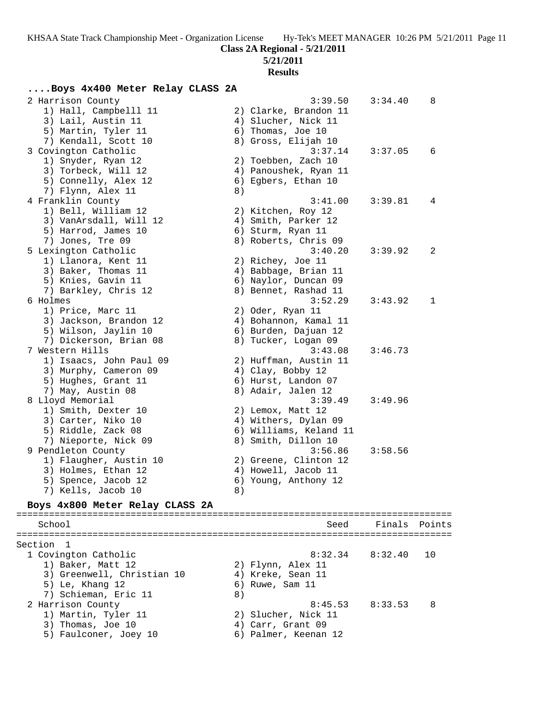### **5/21/2011**

#### **Results**

### **....Boys 4x400 Meter Relay CLASS 2A**

| School                                         |    | Seed                                          | Finals  | Points |
|------------------------------------------------|----|-----------------------------------------------|---------|--------|
| Boys 4x800 Meter Relay CLASS 2A                |    |                                               |         |        |
| 7) Kells, Jacob 10                             | 8) |                                               |         |        |
| 5) Spence, Jacob 12                            |    | 6) Young, Anthony 12                          |         |        |
| 3) Holmes, Ethan 12                            |    | 4) Howell, Jacob 11                           |         |        |
| 1) Flaugher, Austin 10                         |    | 2) Greene, Clinton 12                         |         |        |
| 9 Pendleton County                             |    | 3:56.86                                       | 3:58.56 |        |
| 7) Nieporte, Nick 09                           |    | 8) Smith, Dillon 10                           |         |        |
| 5) Riddle, Zack 08                             |    | 6) Williams, Keland 11                        |         |        |
| 3) Carter, Niko 10                             |    | 4) Withers, Dylan 09                          |         |        |
| 1) Smith, Dexter 10                            |    | 2) Lemox, Matt 12                             |         |        |
| 8 Lloyd Memorial                               |    | 3:39.49                                       | 3:49.96 |        |
| 7) May, Austin 08                              |    | 8) Adair, Jalen 12                            |         |        |
| 5) Hughes, Grant 11                            |    | 6) Hurst, Landon 07                           |         |        |
| 3) Murphy, Cameron 09                          |    | 4) Clay, Bobby 12                             |         |        |
| 1) Isaacs, John Paul 09                        |    | 2) Huffman, Austin 11                         |         |        |
| 7 Western Hills                                |    | 3:43.08                                       | 3:46.73 |        |
| 7) Dickerson, Brian 08                         |    | 8) Tucker, Logan 09                           |         |        |
| 3) Jackson, Brandon 12<br>5) Wilson, Jaylin 10 |    | 4) Bohannon, Kamal 11<br>6) Burden, Dajuan 12 |         |        |
| 1) Price, Marc 11                              |    | 2) Oder, Ryan 11                              |         |        |
| 6 Holmes                                       |    | 3:52.29                                       | 3:43.92 | 1      |
| 7) Barkley, Chris 12                           |    | 8) Bennet, Rashad 11                          |         |        |
| 5) Knies, Gavin 11                             |    | 6) Naylor, Duncan 09                          |         |        |
| 3) Baker, Thomas 11                            |    | 4) Babbage, Brian 11                          |         |        |
| 1) Llanora, Kent 11                            |    | 2) Richey, Joe 11                             |         |        |
| 5 Lexington Catholic                           |    | 3:40.20                                       | 3:39.92 | 2      |
| 7) Jones, Tre 09                               |    | 8) Roberts, Chris 09                          |         |        |
| 5) Harrod, James 10                            |    | 6) Sturm, Ryan 11                             |         |        |
| 3) VanArsdall, Will 12                         |    | 4) Smith, Parker 12                           |         |        |
| 1) Bell, William 12                            |    | 2) Kitchen, Roy 12                            |         |        |
| 4 Franklin County                              |    | 3:41.00                                       | 3:39.81 | 4      |
| 7) Flynn, Alex 11                              | 8) |                                               |         |        |
| 5) Connelly, Alex 12                           |    | 6) Egbers, Ethan 10                           |         |        |
| 3) Torbeck, Will 12                            |    | 4) Panoushek, Ryan 11                         |         |        |
| 1) Snyder, Ryan 12                             |    | 2) Toebben, Zach 10                           |         |        |
| 3 Covington Catholic                           |    | 3:37.14                                       | 3:37.05 | 6      |
| 7) Kendall, Scott 10                           |    | 8) Gross, Elijah 10                           |         |        |
| 5) Martin, Tyler 11                            |    | 6) Thomas, Joe 10                             |         |        |
| 3) Lail, Austin 11                             |    | 4) Slucher, Nick 11                           |         |        |
| 1) Hall, Campbelll 11                          |    | 2) Clarke, Brandon 11                         |         |        |
| 2 Harrison County                              |    | 3:39.50                                       | 3:34.40 | 8      |

### ================================================================================ Section 1 1 Covington Catholic 8:32.34 8:32.40 10 1) Baker, Matt 12 2) Flynn, Alex 11 3) Greenwell, Christian 10  $\hskip1cm$  4) Kreke, Sean 11 5) Le, Khang 12 (6) Ruwe, Sam 11 7) Schieman, Eric 11 (8) 2 Harrison County 8:45.53 8:33.53 8 1) Martin, Tyler 11 2) Slucher, Nick 11 3) Thomas, Joe 10 4) Carr, Grant 09 5) Faulconer, Joey 10 (6) Palmer, Keenan 12